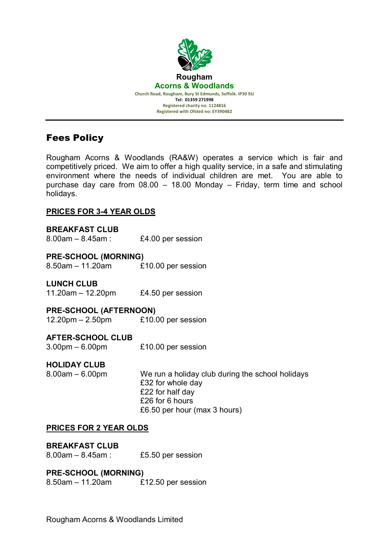

# Fees Policy

Rougham Acorns & Woodlands (RA&W) operates a service which is fair and competitively priced. We aim to offer a high quality service, in a safe and stimulating environment where the needs of individual children are met. You are able to purchase day care from 08.00 – 18.00 Monday – Friday, term time and school holidays.

# **PRICES FOR 3-4 YEAR OLDS**

**BREAKFAST CLUB** 8.00am – 8.45am : £4.00 per session

# **PRE-SCHOOL (MORNING)**

8.50am – 11.20am £10.00 per session

# **LUNCH CLUB**

11.20am – 12.20pm £4.50 per session

# **PRE-SCHOOL (AFTERNOON)**

12.20pm – 2.50pm £10.00 per session

## **AFTER-SCHOOL CLUB**

3.00pm – 6.00pm £10.00 per session

# **HOLIDAY CLUB**

8.00am – 6.00pm We run a holiday club during the school holidays £32 for whole day £22 for half day £26 for 6 hours £6.50 per hour (max 3 hours)

## **PRICES FOR 2 YEAR OLDS**

**BREAKFAST CLUB** 8.00am – 8.45am : £5.50 per session

# **PRE-SCHOOL (MORNING)**

8.50am – 11.20am £12.50 per session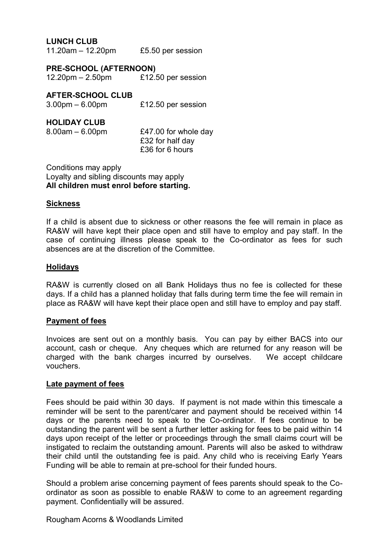## **LUNCH CLUB**

11.20am – 12.20pm £5.50 per session

**PRE-SCHOOL (AFTERNOON)** 12.20pm – 2.50pm £12.50 per session

## **AFTER-SCHOOL CLUB**

| $3.00$ pm $-6.00$ pm | £12.50 per session |
|----------------------|--------------------|
|----------------------|--------------------|

#### **HOLIDAY CLUB**

| $8.00am - 6.00pm$ | £47.00 for whole day |
|-------------------|----------------------|
|                   | £32 for half day     |
|                   | £36 for 6 hours      |

Conditions may apply Loyalty and sibling discounts may apply **All children must enrol before starting.**

#### **Sickness**

If a child is absent due to sickness or other reasons the fee will remain in place as RA&W will have kept their place open and still have to employ and pay staff. In the case of continuing illness please speak to the Co-ordinator as fees for such absences are at the discretion of the Committee.

#### **Holidays**

RA&W is currently closed on all Bank Holidays thus no fee is collected for these days. If a child has a planned holiday that falls during term time the fee will remain in place as RA&W will have kept their place open and still have to employ and pay staff.

#### **Payment of fees**

Invoices are sent out on a monthly basis. You can pay by either BACS into our account, cash or cheque. Any cheques which are returned for any reason will be charged with the bank charges incurred by ourselves. We accept childcare vouchers.

#### **Late payment of fees**

Fees should be paid within 30 days. If payment is not made within this timescale a reminder will be sent to the parent/carer and payment should be received within 14 days or the parents need to speak to the Co-ordinator. If fees continue to be outstanding the parent will be sent a further letter asking for fees to be paid within 14 days upon receipt of the letter or proceedings through the small claims court will be instigated to reclaim the outstanding amount. Parents will also be asked to withdraw their child until the outstanding fee is paid. Any child who is receiving Early Years Funding will be able to remain at pre-school for their funded hours.

Should a problem arise concerning payment of fees parents should speak to the Coordinator as soon as possible to enable RA&W to come to an agreement regarding payment. Confidentially will be assured.